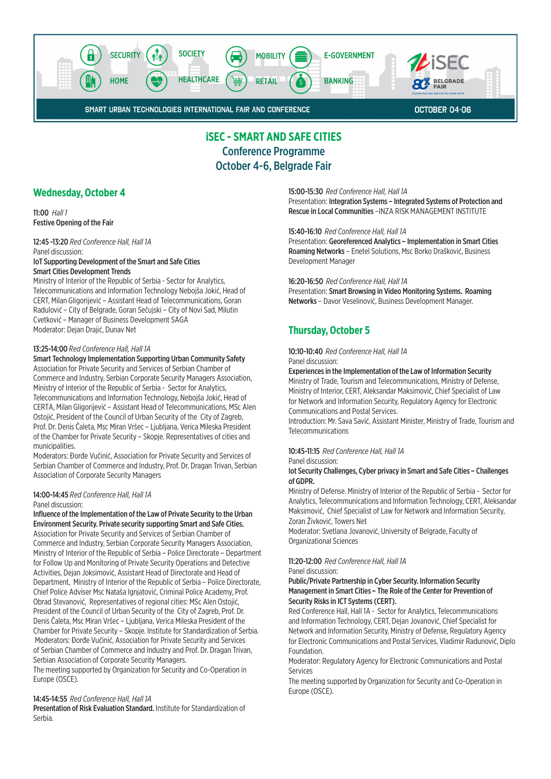

# **iSEC - SMART AND SAFE CITIES** Conference Programme October 4-6, Belgrade Fair

## **Wednesday, October 4**

11:00 *Hall 1* Festive Opening of the Fair

12:45 -13:20 *Red Conference Hall, Hall 1A* Panel discussion: IoT Supporting Development of the Smart and Safe Cities Smart Cities Development Trends

Ministry of Interior of the Republic of Serbia - Sector for Analytics, Telecommunications and Information Technology Nebojša Jokić, Head of CERT, Milan Gligorijević – Assistant Head of Telecommunications, Goran Radulović – City of Belgrade, Goran Sečujski – City of Novi Sad, Milutin Cvetković – Manager of Business Development SAGA Moderator: Dejan Drajić, Dunav Net

#### 13:25-14:00 *Red Conference Hall, Hall 1A*

Smart Technology Implementation Supporting Urban Community Safety Association for Private Security and Services of Serbian Chamber of Commerce and Industry, Serbian Corporate Security Managers Association, Ministry of Interior of the Republic of Serbia - Sector for Analytics, Telecommunications and Information Technology, Nebojša Jokić, Head of CERTA, Milan Gligorijević – Assistant Head of Telecommunications, MSc Alen Ostojić, President of the Council of Urban Security of the City of Zagreb, Prof. Dr. Denis Čaleta, Msc Miran Vršec – Ljubljana, Verica Mileska President of the Chamber for Private Security – Skopje. Representatives of cities and municipalities.

Moderators: Đorđe Vučinić, Association for Private Security and Services of Serbian Chamber of Commerce and Industry, Prof. Dr. Dragan Trivan, Serbian Association of Corporate Security Managers

#### 14:00-14:45 *Red Conference Hall, Hall 1A* Panel discussion:

Influence of the Implementation of the Law of Private Security to the Urban Environment Security. Private security supporting Smart and Safe Cities. Association for Private Security and Services of Serbian Chamber of Commerce and Industry, Serbian Corporate Security Managers Association, Ministry of Interior of the Republic of Serbia – Police Directorate – Department for Follow Up and Monitoring of Private Security Operations and Detective Activities, Dejan Joksimović, Assistant Head of Directorate and Head of Department, Ministry of Interior of the Republic of Serbia – Police Directorate, Chief Police Adviser Msc Nataša Ignjatović, Criminal Police Academy, Prof. Obrad Stevanović, Representatives of regional cities: MSc Alen Ostojić, President of the Council of Urban Security of the City of Zagreb, Prof. Dr. Denis Čaleta, Msc Miran Vršec – Ljubljana, Verica Mileska President of the Chamber for Private Security – Skopje. Institute for Standardization of Serbia. Moderators: Đorđe Vučinić, Association for Private Security and Services of Serbian Chamber of Commerce and Industry and Prof. Dr. Dragan Trivan, Serbian Association of Corporate Security Managers.

The meeting supported by Organization for Security and Co-Operation in Europe (OSCE).

#### 14:45-14:55 *Red Conference Hall, Hall 1A*

Presentation of Risk Evaluation Standard. Institute for Standardization of Serbia.

#### 15:00-15:30 *Red Conference Hall, Hall 1A*

Presentation: Integration Systems – Integrated Systems of Protection and Rescue in Local Communities –INZA RISK MANAGEMENT INSTITUTE

#### 15:40-16:10 *Red Conference Hall, Hall 1A*

Presentation: Georeferenced Analytics – Implementation in Smart Cities Roaming Networks – Enetel Solutions, Msc Borko Drašković, Business Development Manager

## 16:20-16:50 *Red Conference Hall, Hall 1A*

Presentation: Smart Browsing in Video Monitoring Systems. Roaming Networks – Davor Veselinović, Business Development Manager.

# **Thursday, October 5**

10:10-10:40 *Red Conference Hall, Hall 1A* Panel discussion:

#### Experiences in the Implementation of the Law of Information Security

Ministry of Trade, Tourism and Telecommunications, Ministry of Defense, Ministry of Interior, CERT, Aleksandar Maksimović, Chief Specialist of Law for Network and Information Security, Regulatory Agency for Electronic Communications and Postal Services.

Introduction: Mr. Sava Savić, Assistant Minister, Ministry of Trade, Tourism and Telecommunications

#### 10:45-11:15 *Red Conference Hall, Hall 1A*

Panel discussion:

#### Iot Security Challenges, Cyber privacy in Smart and Safe Cities – Challenges of GDPR.

Ministry of Defense. Ministry of Interior of the Republic of Serbia - Sector for Analytics, Telecommunications and Information Technology, CERT, Aleksandar Maksimović, Chief Specialist of Law for Network and Information Security, Zoran Živković, Towers Net

Moderator: Svetlana Jovanović, University of Belgrade, Faculty of Organizational Sciences

## 11:20-12:00 *Red Conference Hall, Hall 1A*

Panel discussion:

### Public/Private Partnership in Cyber Security. Information Security Management in Smart Cities – The Role of the Center for Prevention of Security Risks in ICT Systems (CERT).

Red Conference Hall, Hall 1A - Sector for Analytics, Telecommunications and Information Technology, CERT, Dejan Jovanović, Chief Specialist for Network and Information Security, Ministry of Defense, Regulatory Agency for Electronic Communications and Postal Services, Vladimir Radunović, Diplo Foundation.

Moderator: Regulatory Agency for Electronic Communications and Postal Services

The meeting supported by Organization for Security and Co-Operation in Europe (OSCE).